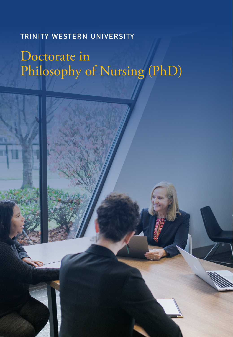# **TRINITY WESTERN UNIVERSITY**

# Doctorate in Philosophy of Nursing (PhD)

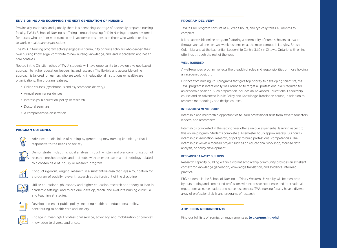#### **ENVISIONING AND EQUIPPING THE NEXT GENERATION OF NURSING**

Provincially, nationally, and globally, there is a deepening shortage of doctorally prepared nursing faculty. TWU's School of Nursing is offering a groundbreaking PhD in Nursing program designed for nurses who are in or who want to be in academic positions, and those who work in or desire to work in healthcare organizations.

The PhD in Nursing program actively engages a community of nurse scholars who deepen their own nursing knowledge, contribute to new nursing knowledge, and lead in academic and healthcare contexts.

Rooted in the Christian ethos of TWU, students will have opportunity to develop a values-based approach to higher education, leadership, and research. The flexible and accessible online approach is tailored for learners who are working in educational institutions or health-care organizations. The program features:

- Online courses (synchronous and asynchronous delivery)
- Annual summer residences
- Internships in education, policy, or research
- Doctoral seminars
- A comprehensive dissertation

# **PROGRAM OUTCOMES**

Advance the discipline of nursing by generating new nursing knowledge that is responsive to the needs of society.



Demonstrate in-depth, critical analysis through written and oral communication of research methodologies and methods, with an expertise in a methodology related to a chosen field of inquiry or research program.



Conduct rigorous, original research in a substantive area that lays a foundation for a program of socially relevant research at the forefront of the discipline.



Utilize educational philosophy and higher education research and theory to lead in academic settings, and to critique, develop, teach, and evaluate nursing curricula and teaching strategies.



Develop and enact public policy, including health and educational policy, contributing to health care and society.



Engage in meaningful professional service, advocacy, and mobilization of complex knowledge to diverse audiences.

#### **PROGRAM DELIVERY**

TWU's PhD program consists of 45 credit hours, and typically takes 48 months to complete.

It is an accessible online program featuring a community of nurse scholars cultivated through annual one- or two-week residencies at the main campus in Langley, British Columbia, and at the Laurentian Leadership Centre (LLC) in Ottawa, Ontario, with online offerings through the rest of the year.

# WELL-ROUNDED

A well-rounded program reflects the breadth of roles and responsibilities of those holding an academic position.

Distinct from nursing PhD programs that give top priority to developing scientists, the TWU program is intentionally well-rounded to target all professional skills required for an academic position. Such preparation includes an Advanced Educational Leadership course and an Advanced Public Policy and Knowledge Translation course, in addition to research methodology and design courses.

#### INTERNSHIP & MENTORSHIP

Internship and mentorship opportunities to learn professional skills from expert educators, leaders, and researchers.

Internships completed in the second year offer a unique experiential learning aspect to this online program. Students complete a 3-semester hour (approximately 100 hours) internship in education, research, or policy to build professional competencies. The internship involves a focused project such as an educational workshop, focused data analysis, or policy development.

# RESEARCH CAPACITY BUILDING

Research capacity building within a vibrant scholarship community provides an excellent context for knowledge generation, knowledge translation, and evidence-informed practice.

PhD students in the School of Nursing at Trinity Western University will be mentored by outstanding and committed professors with extensive experience and international reputations as nurse leaders and nurse researchers. TWU nursing faculty have a diverse array of professional skills and programs of research.

# **ADMISSION REQUIREMENTS**

Find our full lists of admission requirements at **twu.ca/nursing-phd**.